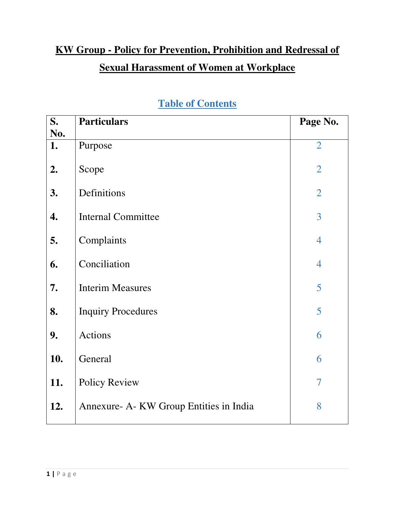# **KW Group - Policy for Prevention, Prohibition and Redressal of Sexual Harassment of Women at Workplace**

| S.        | <b>Particulars</b>                      | Page No.       |
|-----------|-----------------------------------------|----------------|
| No.<br>1. | Purpose                                 | $\overline{2}$ |
| 2.        | Scope                                   | $\overline{2}$ |
| 3.        | Definitions                             | $\overline{2}$ |
| 4.        | <b>Internal Committee</b>               | 3              |
| 5.        | Complaints                              | $\overline{4}$ |
| 6.        | Conciliation                            | $\overline{4}$ |
| 7.        | <b>Interim Measures</b>                 | 5              |
| 8.        | <b>Inquiry Procedures</b>               | 5              |
| 9.        | Actions                                 | 6              |
| 10.       | General                                 | 6              |
| 11.       | <b>Policy Review</b>                    | $\overline{7}$ |
| 12.       | Annexure- A- KW Group Entities in India | 8              |

# **Table of Contents**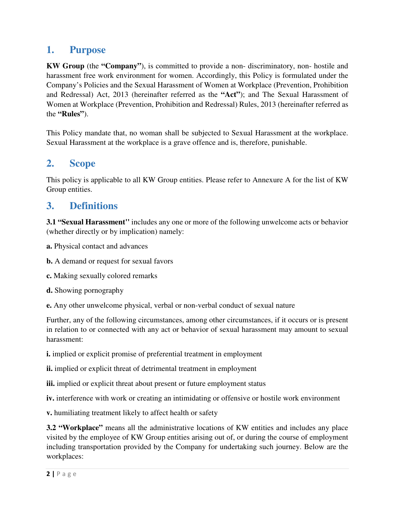### **1. Purpose**

**KW Group** (the **"Company"**), is committed to provide a non- discriminatory, non- hostile and harassment free work environment for women. Accordingly, this Policy is formulated under the Company's Policies and the Sexual Harassment of Women at Workplace (Prevention, Prohibition and Redressal) Act, 2013 (hereinafter referred as the **"Act"**); and The Sexual Harassment of Women at Workplace (Prevention, Prohibition and Redressal) Rules, 2013 (hereinafter referred as the **"Rules"**).

This Policy mandate that, no woman shall be subjected to Sexual Harassment at the workplace. Sexual Harassment at the workplace is a grave offence and is, therefore, punishable.

## **2. Scope**

This policy is applicable to all KW Group entities. Please refer to Annexure A for the list of KW Group entities.

## **3. Definitions**

**3.1 "Sexual Harassment''** includes any one or more of the following unwelcome acts or behavior (whether directly or by implication) namely:

- **a.** Physical contact and advances
- **b.** A demand or request for sexual favors
- **c.** Making sexually colored remarks
- **d.** Showing pornography
- **e.** Any other unwelcome physical, verbal or non-verbal conduct of sexual nature

Further, any of the following circumstances, among other circumstances, if it occurs or is present in relation to or connected with any act or behavior of sexual harassment may amount to sexual harassment:

- **i.** implied or explicit promise of preferential treatment in employment
- **ii.** implied or explicit threat of detrimental treatment in employment
- **iii.** implied or explicit threat about present or future employment status

**iv.** interference with work or creating an intimidating or offensive or hostile work environment

**v.** humiliating treatment likely to affect health or safety

**3.2 "Workplace"** means all the administrative locations of KW entities and includes any place visited by the employee of KW Group entities arising out of, or during the course of employment including transportation provided by the Company for undertaking such journey. Below are the workplaces: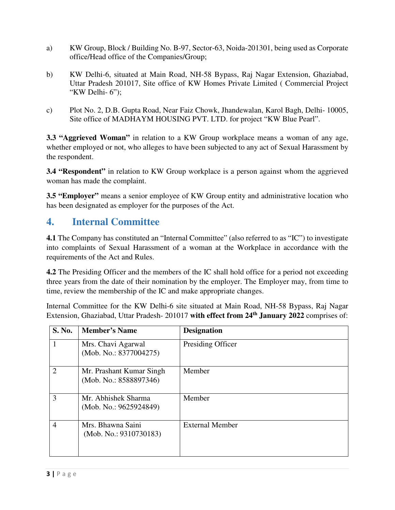- a) KW Group, Block / Building No. B-97, Sector-63, Noida-201301, being used as Corporate office/Head office of the Companies/Group;
- b) KW Delhi-6, situated at Main Road, NH-58 Bypass, Raj Nagar Extension, Ghaziabad, Uttar Pradesh 201017, Site office of KW Homes Private Limited ( Commercial Project "KW Delhi- 6");
- c) Plot No. 2, D.B. Gupta Road, Near Faiz Chowk, Jhandewalan, Karol Bagh, Delhi- 10005, Site office of MADHAYM HOUSING PVT. LTD. for project "KW Blue Pearl".

**3.3 "Aggrieved Woman"** in relation to a KW Group workplace means a woman of any age, whether employed or not, who alleges to have been subjected to any act of Sexual Harassment by the respondent.

**3.4 "Respondent"** in relation to KW Group workplace is a person against whom the aggrieved woman has made the complaint.

**3.5 "Employer"** means a senior employee of KW Group entity and administrative location who has been designated as employer for the purposes of the Act.

## **4. Internal Committee**

**4.1** The Company has constituted an "Internal Committee" (also referred to as "IC") to investigate into complaints of Sexual Harassment of a woman at the Workplace in accordance with the requirements of the Act and Rules.

**4.2** The Presiding Officer and the members of the IC shall hold office for a period not exceeding three years from the date of their nomination by the employer. The Employer may, from time to time, review the membership of the IC and make appropriate changes.

Internal Committee for the KW Delhi-6 site situated at Main Road, NH-58 Bypass, Raj Nagar Extension, Ghaziabad, Uttar Pradesh- 201017 **with effect from 24th January 2022** comprises of:

| <b>S. No.</b>  | <b>Member's Name</b>                               | <b>Designation</b>     |
|----------------|----------------------------------------------------|------------------------|
| $\mathbf{1}$   | Mrs. Chavi Agarwal<br>(Mob. No.: 8377004275)       | Presiding Officer      |
| $\overline{2}$ | Mr. Prashant Kumar Singh<br>(Mob. No.: 8588897346) | Member                 |
| 3              | Mr. Abhishek Sharma<br>(Mob. No.: 9625924849)      | Member                 |
| $\overline{4}$ | Mrs. Bhawna Saini<br>(Mob. No.: 9310730183)        | <b>External Member</b> |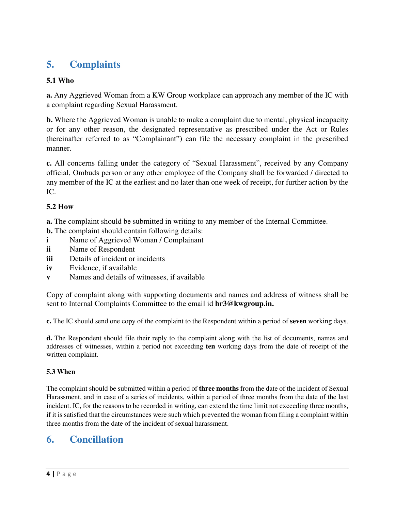# **5. Complaints**

#### **5.1 Who**

**a.** Any Aggrieved Woman from a KW Group workplace can approach any member of the IC with a complaint regarding Sexual Harassment.

**b.** Where the Aggrieved Woman is unable to make a complaint due to mental, physical incapacity or for any other reason, the designated representative as prescribed under the Act or Rules (hereinafter referred to as "Complainant") can file the necessary complaint in the prescribed manner.

**c.** All concerns falling under the category of "Sexual Harassment", received by any Company official, Ombuds person or any other employee of the Company shall be forwarded / directed to any member of the IC at the earliest and no later than one week of receipt, for further action by the IC.

#### **5.2 How**

**a.** The complaint should be submitted in writing to any member of the Internal Committee.

- **b.** The complaint should contain following details:
- **i** Name of Aggrieved Woman / Complainant
- **ii** Name of Respondent
- **iii** Details of incident or incidents
- **iv** Evidence, if available
- **v** Names and details of witnesses, if available

Copy of complaint along with supporting documents and names and address of witness shall be sent to Internal Complaints Committee to the email id **hr3@kwgroup.in.**

**c.** The IC should send one copy of the complaint to the Respondent within a period of **seven** working days.

**d.** The Respondent should file their reply to the complaint along with the list of documents, names and addresses of witnesses, within a period not exceeding **ten** working days from the date of receipt of the written complaint.

#### **5.3 When**

The complaint should be submitted within a period of **three months** from the date of the incident of Sexual Harassment, and in case of a series of incidents, within a period of three months from the date of the last incident. IC, for the reasons to be recorded in writing, can extend the time limit not exceeding three months, if it is satisfied that the circumstances were such which prevented the woman from filing a complaint within three months from the date of the incident of sexual harassment.

# **6. Concillation**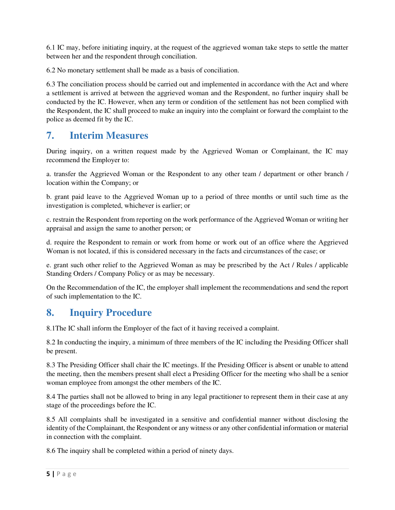6.1 IC may, before initiating inquiry, at the request of the aggrieved woman take steps to settle the matter between her and the respondent through conciliation.

6.2 No monetary settlement shall be made as a basis of conciliation.

6.3 The conciliation process should be carried out and implemented in accordance with the Act and where a settlement is arrived at between the aggrieved woman and the Respondent, no further inquiry shall be conducted by the IC. However, when any term or condition of the settlement has not been complied with the Respondent, the IC shall proceed to make an inquiry into the complaint or forward the complaint to the police as deemed fit by the IC.

# **7. Interim Measures**

During inquiry, on a written request made by the Aggrieved Woman or Complainant, the IC may recommend the Employer to:

a. transfer the Aggrieved Woman or the Respondent to any other team / department or other branch / location within the Company; or

b. grant paid leave to the Aggrieved Woman up to a period of three months or until such time as the investigation is completed, whichever is earlier; or

c. restrain the Respondent from reporting on the work performance of the Aggrieved Woman or writing her appraisal and assign the same to another person; or

d. require the Respondent to remain or work from home or work out of an office where the Aggrieved Woman is not located, if this is considered necessary in the facts and circumstances of the case; or

e. grant such other relief to the Aggrieved Woman as may be prescribed by the Act / Rules / applicable Standing Orders / Company Policy or as may be necessary.

On the Recommendation of the IC, the employer shall implement the recommendations and send the report of such implementation to the IC.

## **8. Inquiry Procedure**

8.1The IC shall inform the Employer of the fact of it having received a complaint.

8.2 In conducting the inquiry, a minimum of three members of the IC including the Presiding Officer shall be present.

8.3 The Presiding Officer shall chair the IC meetings. If the Presiding Officer is absent or unable to attend the meeting, then the members present shall elect a Presiding Officer for the meeting who shall be a senior woman employee from amongst the other members of the IC.

8.4 The parties shall not be allowed to bring in any legal practitioner to represent them in their case at any stage of the proceedings before the IC.

8.5 All complaints shall be investigated in a sensitive and confidential manner without disclosing the identity of the Complainant, the Respondent or any witness or any other confidential information or material in connection with the complaint.

8.6 The inquiry shall be completed within a period of ninety days.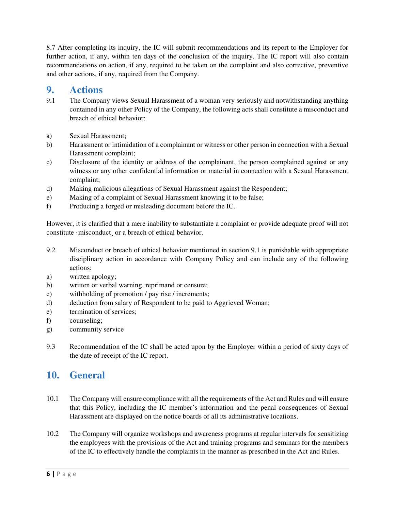8.7 After completing its inquiry, the IC will submit recommendations and its report to the Employer for further action, if any, within ten days of the conclusion of the inquiry. The IC report will also contain recommendations on action, if any, required to be taken on the complaint and also corrective, preventive and other actions, if any, required from the Company.

### **9. Actions**

- 9.1 The Company views Sexual Harassment of a woman very seriously and notwithstanding anything contained in any other Policy of the Company, the following acts shall constitute a misconduct and breach of ethical behavior:
- a) Sexual Harassment;
- b) Harassment or intimidation of a complainant or witness or other person in connection with a Sexual Harassment complaint;
- c) Disclosure of the identity or address of the complainant, the person complained against or any witness or any other confidential information or material in connection with a Sexual Harassment complaint;
- d) Making malicious allegations of Sexual Harassment against the Respondent;
- e) Making of a complaint of Sexual Harassment knowing it to be false;
- f) Producing a forged or misleading document before the IC.

However, it is clarified that a mere inability to substantiate a complaint or provide adequate proof will not constitute ·misconduct¸ or a breach of ethical behavior.

- 9.2 Misconduct or breach of ethical behavior mentioned in section 9.1 is punishable with appropriate disciplinary action in accordance with Company Policy and can include any of the following actions:
- a) written apology;
- b) written or verbal warning, reprimand or censure;
- c) withholding of promotion / pay rise / increments;
- d) deduction from salary of Respondent to be paid to Aggrieved Woman;
- e) termination of services;
- f) counseling;
- g) community service
- 9.3 Recommendation of the IC shall be acted upon by the Employer within a period of sixty days of the date of receipt of the IC report.

### **10. General**

- 10.1 The Company will ensure compliance with all the requirements of the Act and Rules and will ensure that this Policy, including the IC member's information and the penal consequences of Sexual Harassment are displayed on the notice boards of all its administrative locations.
- 10.2 The Company will organize workshops and awareness programs at regular intervals for sensitizing the employees with the provisions of the Act and training programs and seminars for the members of the IC to effectively handle the complaints in the manner as prescribed in the Act and Rules.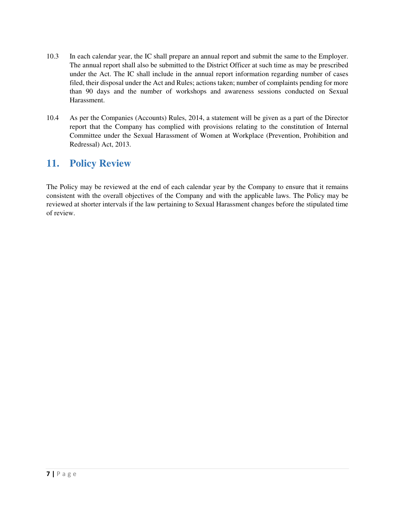- 10.3 In each calendar year, the IC shall prepare an annual report and submit the same to the Employer. The annual report shall also be submitted to the District Officer at such time as may be prescribed under the Act. The IC shall include in the annual report information regarding number of cases filed, their disposal under the Act and Rules; actions taken; number of complaints pending for more than 90 days and the number of workshops and awareness sessions conducted on Sexual Harassment.
- 10.4 As per the Companies (Accounts) Rules, 2014, a statement will be given as a part of the Director report that the Company has complied with provisions relating to the constitution of Internal Committee under the Sexual Harassment of Women at Workplace (Prevention, Prohibition and Redressal) Act, 2013.

# **11. Policy Review**

The Policy may be reviewed at the end of each calendar year by the Company to ensure that it remains consistent with the overall objectives of the Company and with the applicable laws. The Policy may be reviewed at shorter intervals if the law pertaining to Sexual Harassment changes before the stipulated time of review.